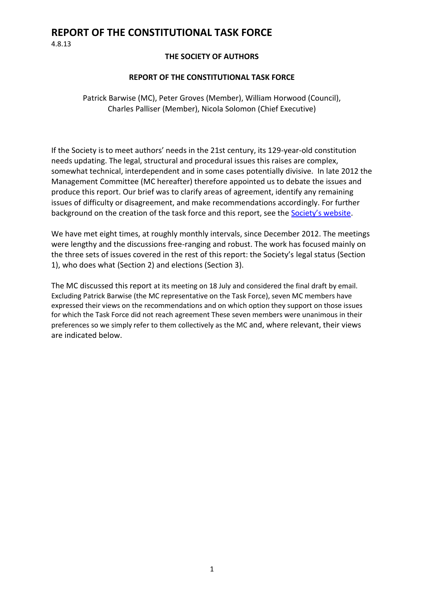4.8.13

#### **THE SOCIETY OF AUTHORS**

#### **REPORT OF THE CONSTITUTIONAL TASK FORCE**

Patrick Barwise (MC), Peter Groves (Member), William Horwood (Council), Charles Palliser (Member), Nicola Solomon (Chief Executive)

If the Society is to meet authors' needs in the 21st century, its 129-year-old constitution needs updating. The legal, structural and procedural issues this raises are complex, somewhat technical, interdependent and in some cases potentially divisive. In late 2012 the Management Committee (MC hereafter) therefore appointed us to debate the issues and produce this report. Our brief was to clarify areas of agreement, identify any remaining issues of difficulty or disagreement, and make recommendations accordingly. For further background on the creation of the task force and this report, see the **[Society's website](http://www.societyofauthors.org/constitution-consultation)**.

We have met eight times, at roughly monthly intervals, since December 2012. The meetings were lengthy and the discussions free-ranging and robust. The work has focused mainly on the three sets of issues covered in the rest of this report: the Society's legal status (Section 1), who does what (Section 2) and elections (Section 3).

The MC discussed this report at its meeting on 18 July and considered the final draft by email. Excluding Patrick Barwise (the MC representative on the Task Force), seven MC members have expressed their views on the recommendations and on which option they support on those issues for which the Task Force did not reach agreement These seven members were unanimous in their preferences so we simply refer to them collectively as the MC and, where relevant, their views are indicated below.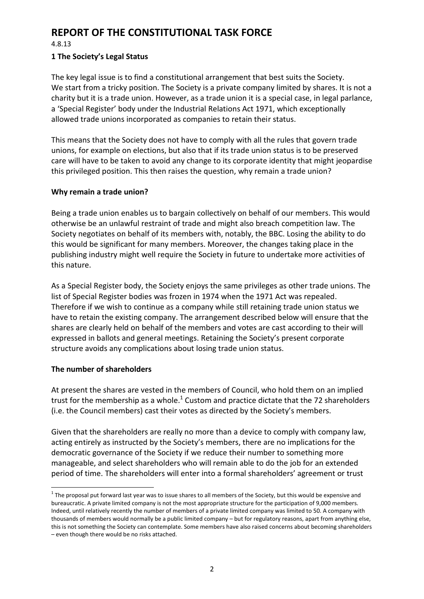4.8.13

#### **1 The Society's Legal Status**

The key legal issue is to find a constitutional arrangement that best suits the Society. We start from a tricky position. The Society is a private company limited by shares. It is not a charity but it is a trade union. However, as a trade union it is a special case, in legal parlance, a 'Special Register' body under the Industrial Relations Act 1971, which exceptionally allowed trade unions incorporated as companies to retain their status.

This means that the Society does not have to comply with all the rules that govern trade unions, for example on elections, but also that if its trade union status is to be preserved care will have to be taken to avoid any change to its corporate identity that might jeopardise this privileged position. This then raises the question, why remain a trade union?

#### **Why remain a trade union?**

Being a trade union enables us to bargain collectively on behalf of our members. This would otherwise be an unlawful restraint of trade and might also breach competition law. The Society negotiates on behalf of its members with, notably, the BBC. Losing the ability to do this would be significant for many members. Moreover, the changes taking place in the publishing industry might well require the Society in future to undertake more activities of this nature.

As a Special Register body, the Society enjoys the same privileges as other trade unions. The list of Special Register bodies was frozen in 1974 when the 1971 Act was repealed. Therefore if we wish to continue as a company while still retaining trade union status we have to retain the existing company. The arrangement described below will ensure that the shares are clearly held on behalf of the members and votes are cast according to their will expressed in ballots and general meetings. Retaining the Society's present corporate structure avoids any complications about losing trade union status.

### **The number of shareholders**

**.** 

At present the shares are vested in the members of Council, who hold them on an implied trust for the membership as a whole.<sup>1</sup> Custom and practice dictate that the 72 shareholders (i.e. the Council members) cast their votes as directed by the Society's members.

Given that the shareholders are really no more than a device to comply with company law, acting entirely as instructed by the Society's members, there are no implications for the democratic governance of the Society if we reduce their number to something more manageable, and select shareholders who will remain able to do the job for an extended period of time. The shareholders will enter into a formal shareholders' agreement or trust

 $1$  The proposal put forward last year was to issue shares to all members of the Society, but this would be expensive and bureaucratic. A private limited company is not the most appropriate structure for the participation of 9,000 members. Indeed, until relatively recently the number of members of a private limited company was limited to 50. A company with thousands of members would normally be a public limited company – but for regulatory reasons, apart from anything else, this is not something the Society can contemplate. Some members have also raised concerns about becoming shareholders – even though there would be no risks attached.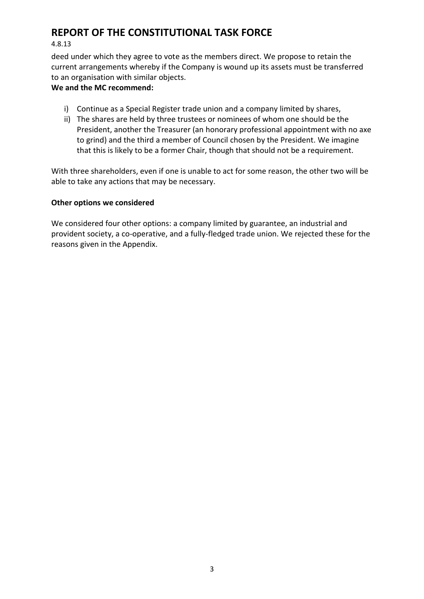#### 4.8.13

deed under which they agree to vote as the members direct. We propose to retain the current arrangements whereby if the Company is wound up its assets must be transferred to an organisation with similar objects.

### **We and the MC recommend:**

- i) Continue as a Special Register trade union and a company limited by shares,
- ii) The shares are held by three trustees or nominees of whom one should be the President, another the Treasurer (an honorary professional appointment with no axe to grind) and the third a member of Council chosen by the President. We imagine that this is likely to be a former Chair, though that should not be a requirement.

With three shareholders, even if one is unable to act for some reason, the other two will be able to take any actions that may be necessary.

#### **Other options we considered**

We considered four other options: a company limited by guarantee, an industrial and provident society, a co-operative, and a fully-fledged trade union. We rejected these for the reasons given in the Appendix.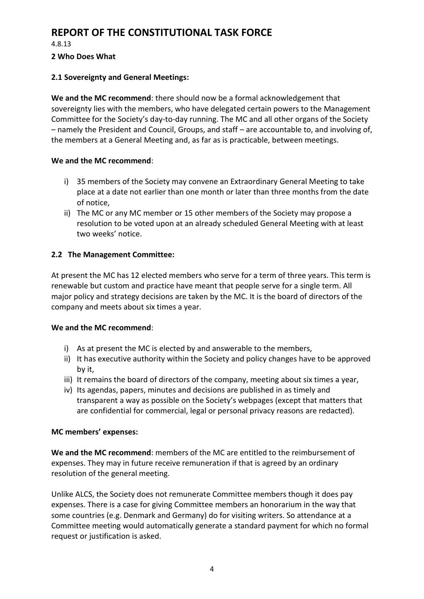4.8.13

#### **2 Who Does What**

### **2.1 Sovereignty and General Meetings:**

**We and the MC recommend**: there should now be a formal acknowledgement that sovereignty lies with the members, who have delegated certain powers to the Management Committee for the Society's day-to-day running. The MC and all other organs of the Society – namely the President and Council, Groups, and staff – are accountable to, and involving of, the members at a General Meeting and, as far as is practicable, between meetings.

### **We and the MC recommend**:

- i) 35 members of the Society may convene an Extraordinary General Meeting to take place at a date not earlier than one month or later than three months from the date of notice,
- ii) The MC or any MC member or 15 other members of the Society may propose a resolution to be voted upon at an already scheduled General Meeting with at least two weeks' notice.

# **2.2 The Management Committee:**

At present the MC has 12 elected members who serve for a term of three years. This term is renewable but custom and practice have meant that people serve for a single term. All major policy and strategy decisions are taken by the MC. It is the board of directors of the company and meets about six times a year.

### **We and the MC recommend**:

- i) As at present the MC is elected by and answerable to the members,
- ii) It has executive authority within the Society and policy changes have to be approved by it,
- iii) It remains the board of directors of the company, meeting about six times a year,
- iv) Its agendas, papers, minutes and decisions are published in as timely and transparent a way as possible on the Society's webpages (except that matters that are confidential for commercial, legal or personal privacy reasons are redacted).

### **MC members' expenses:**

**We and the MC recommend**: members of the MC are entitled to the reimbursement of expenses. They may in future receive remuneration if that is agreed by an ordinary resolution of the general meeting.

Unlike ALCS, the Society does not remunerate Committee members though it does pay expenses. There is a case for giving Committee members an honorarium in the way that some countries (e.g. Denmark and Germany) do for visiting writers. So attendance at a Committee meeting would automatically generate a standard payment for which no formal request or justification is asked.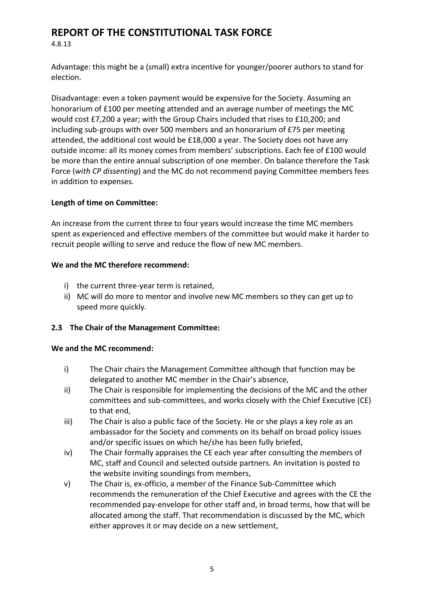4.8.13

Advantage: this might be a (small) extra incentive for younger/poorer authors to stand for election.

Disadvantage: even a token payment would be expensive for the Society. Assuming an honorarium of £100 per meeting attended and an average number of meetings the MC would cost £7,200 a year; with the Group Chairs included that rises to £10,200; and including sub-groups with over 500 members and an honorarium of £75 per meeting attended, the additional cost would be £18,000 a year. The Society does not have any outside income: all its money comes from members' subscriptions. Each fee of £100 would be more than the entire annual subscription of one member. On balance therefore the Task Force (*with CP dissenting*) and the MC do not recommend paying Committee members fees in addition to expenses.

### **Length of time on Committee:**

An increase from the current three to four years would increase the time MC members spent as experienced and effective members of the committee but would make it harder to recruit people willing to serve and reduce the flow of new MC members.

### **We and the MC therefore recommend:**

- i) the current three-year term is retained,
- ii) MC will do more to mentor and involve new MC members so they can get up to speed more quickly.

# **2.3 The Chair of the Management Committee:**

### **We and the MC recommend:**

- i) The Chair chairs the Management Committee although that function may be delegated to another MC member in the Chair's absence,
- ii) The Chair is responsible for implementing the decisions of the MC and the other committees and sub-committees, and works closely with the Chief Executive (CE) to that end,
- iii) The Chair is also a public face of the Society. He or she plays a key role as an ambassador for the Society and comments on its behalf on broad policy issues and/or specific issues on which he/she has been fully briefed,
- iv) The Chair formally appraises the CE each year after consulting the members of MC, staff and Council and selected outside partners. An invitation is posted to the website inviting soundings from members,
- v) The Chair is, ex-officio, a member of the Finance Sub-Committee which recommends the remuneration of the Chief Executive and agrees with the CE the recommended pay-envelope for other staff and, in broad terms, how that will be allocated among the staff. That recommendation is discussed by the MC, which either approves it or may decide on a new settlement,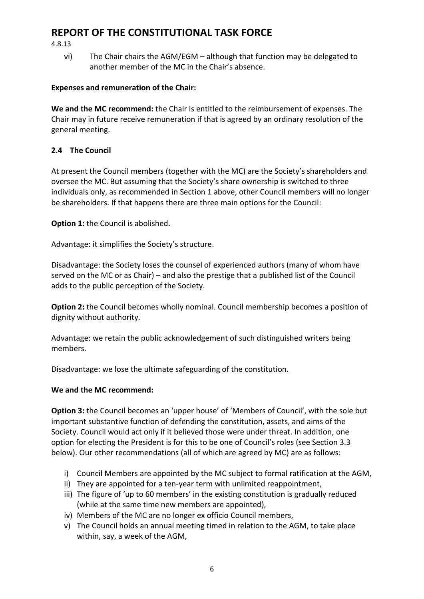4.8.13

vi) The Chair chairs the AGM/EGM – although that function may be delegated to another member of the MC in the Chair's absence.

## **Expenses and remuneration of the Chair:**

**We and the MC recommend:** the Chair is entitled to the reimbursement of expenses. The Chair may in future receive remuneration if that is agreed by an ordinary resolution of the general meeting.

## **2.4 The Council**

At present the Council members (together with the MC) are the Society's shareholders and oversee the MC. But assuming that the Society's share ownership is switched to three individuals only, as recommended in Section 1 above, other Council members will no longer be shareholders. If that happens there are three main options for the Council:

**Option 1:** the Council is abolished.

Advantage: it simplifies the Society's structure.

Disadvantage: the Society loses the counsel of experienced authors (many of whom have served on the MC or as Chair) – and also the prestige that a published list of the Council adds to the public perception of the Society.

**Option 2:** the Council becomes wholly nominal. Council membership becomes a position of dignity without authority.

Advantage: we retain the public acknowledgement of such distinguished writers being members.

Disadvantage: we lose the ultimate safeguarding of the constitution.

### **We and the MC recommend:**

**Option 3:** the Council becomes an 'upper house' of 'Members of Council', with the sole but important substantive function of defending the constitution, assets, and aims of the Society. Council would act only if it believed those were under threat. In addition, one option for electing the President is for this to be one of Council's roles (see Section 3.3 below). Our other recommendations (all of which are agreed by MC) are as follows:

- i) Council Members are appointed by the MC subject to formal ratification at the AGM,
- ii) They are appointed for a ten-year term with unlimited reappointment,
- iii) The figure of 'up to 60 members' in the existing constitution is gradually reduced (while at the same time new members are appointed),
- iv) Members of the MC are no longer ex officio Council members,
- v) The Council holds an annual meeting timed in relation to the AGM, to take place within, say, a week of the AGM,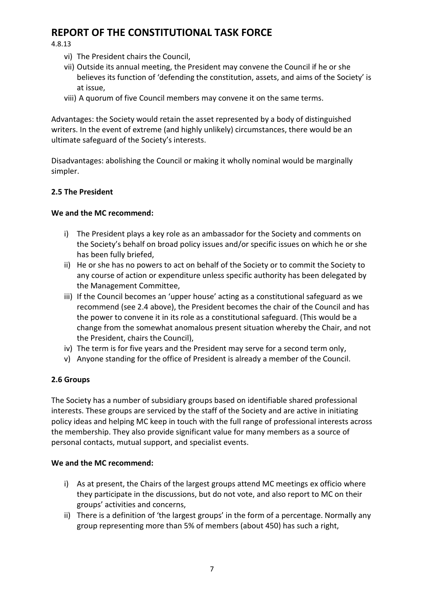4.8.13

- vi) The President chairs the Council,
- vii) Outside its annual meeting, the President may convene the Council if he or she believes its function of 'defending the constitution, assets, and aims of the Society' is at issue,
- viii) A quorum of five Council members may convene it on the same terms.

Advantages: the Society would retain the asset represented by a body of distinguished writers. In the event of extreme (and highly unlikely) circumstances, there would be an ultimate safeguard of the Society's interests.

Disadvantages: abolishing the Council or making it wholly nominal would be marginally simpler.

### **2.5 The President**

### **We and the MC recommend:**

- i) The President plays a key role as an ambassador for the Society and comments on the Society's behalf on broad policy issues and/or specific issues on which he or she has been fully briefed,
- ii) He or she has no powers to act on behalf of the Society or to commit the Society to any course of action or expenditure unless specific authority has been delegated by the Management Committee,
- iii) If the Council becomes an 'upper house' acting as a constitutional safeguard as we recommend (see 2.4 above), the President becomes the chair of the Council and has the power to convene it in its role as a constitutional safeguard. (This would be a change from the somewhat anomalous present situation whereby the Chair, and not the President, chairs the Council),
- iv) The term is for five years and the President may serve for a second term only,
- v) Anyone standing for the office of President is already a member of the Council.

### **2.6 Groups**

The Society has a number of subsidiary groups based on identifiable shared professional interests. These groups are serviced by the staff of the Society and are active in initiating policy ideas and helping MC keep in touch with the full range of professional interests across the membership. They also provide significant value for many members as a source of personal contacts, mutual support, and specialist events.

### **We and the MC recommend:**

- i) As at present, the Chairs of the largest groups attend MC meetings ex officio where they participate in the discussions, but do not vote, and also report to MC on their groups' activities and concerns,
- ii) There is a definition of 'the largest groups' in the form of a percentage. Normally any group representing more than 5% of members (about 450) has such a right,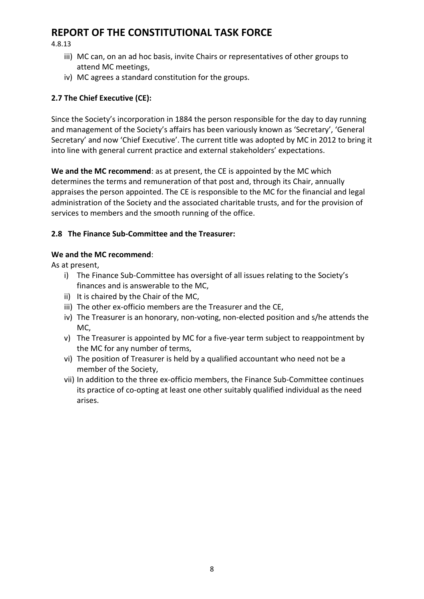4.8.13

- iii) MC can, on an ad hoc basis, invite Chairs or representatives of other groups to attend MC meetings,
- iv) MC agrees a standard constitution for the groups.

# **2.7 The Chief Executive (CE):**

Since the Society's incorporation in 1884 the person responsible for the day to day running and management of the Society's affairs has been variously known as 'Secretary', 'General Secretary' and now 'Chief Executive'. The current title was adopted by MC in 2012 to bring it into line with general current practice and external stakeholders' expectations.

**We and the MC recommend**: as at present, the CE is appointed by the MC which determines the terms and remuneration of that post and, through its Chair, annually appraises the person appointed. The CE is responsible to the MC for the financial and legal administration of the Society and the associated charitable trusts, and for the provision of services to members and the smooth running of the office.

### **2.8 The Finance Sub-Committee and the Treasurer:**

### **We and the MC recommend**:

As at present,

- i) The Finance Sub-Committee has oversight of all issues relating to the Society's finances and is answerable to the MC,
- ii) It is chaired by the Chair of the MC,
- iii) The other ex-officio members are the Treasurer and the CE,
- iv) The Treasurer is an honorary, non-voting, non-elected position and s/he attends the MC,
- v) The Treasurer is appointed by MC for a five-year term subject to reappointment by the MC for any number of terms,
- vi) The position of Treasurer is held by a qualified accountant who need not be a member of the Society,
- vii) In addition to the three ex-officio members, the Finance Sub-Committee continues its practice of co-opting at least one other suitably qualified individual as the need arises.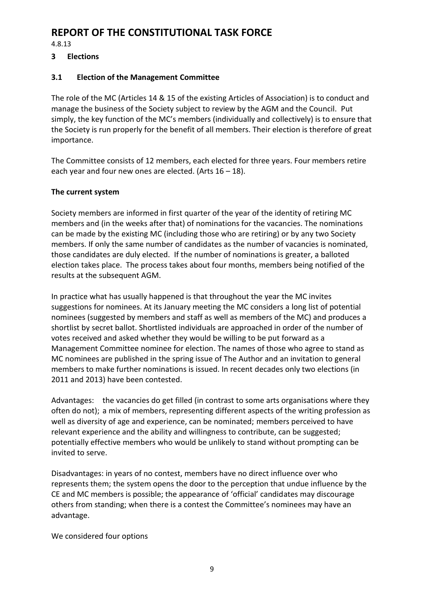4.8.13

### **3 Elections**

### **3.1 Election of the Management Committee**

The role of the MC (Articles 14 & 15 of the existing Articles of Association) is to conduct and manage the business of the Society subject to review by the AGM and the Council. Put simply, the key function of the MC's members (individually and collectively) is to ensure that the Society is run properly for the benefit of all members. Their election is therefore of great importance.

The Committee consists of 12 members, each elected for three years. Four members retire each year and four new ones are elected. (Arts 16 – 18).

### **The current system**

Society members are informed in first quarter of the year of the identity of retiring MC members and (in the weeks after that) of nominations for the vacancies. The nominations can be made by the existing MC (including those who are retiring) or by any two Society members. If only the same number of candidates as the number of vacancies is nominated, those candidates are duly elected. If the number of nominations is greater, a balloted election takes place. The process takes about four months, members being notified of the results at the subsequent AGM.

In practice what has usually happened is that throughout the year the MC invites suggestions for nominees. At its January meeting the MC considers a long list of potential nominees (suggested by members and staff as well as members of the MC) and produces a shortlist by secret ballot. Shortlisted individuals are approached in order of the number of votes received and asked whether they would be willing to be put forward as a Management Committee nominee for election. The names of those who agree to stand as MC nominees are published in the spring issue of The Author and an invitation to general members to make further nominations is issued. In recent decades only two elections (in 2011 and 2013) have been contested.

Advantages: the vacancies do get filled (in contrast to some arts organisations where they often do not); a mix of members, representing different aspects of the writing profession as well as diversity of age and experience, can be nominated; members perceived to have relevant experience and the ability and willingness to contribute, can be suggested; potentially effective members who would be unlikely to stand without prompting can be invited to serve.

Disadvantages: in years of no contest, members have no direct influence over who represents them; the system opens the door to the perception that undue influence by the CE and MC members is possible; the appearance of 'official' candidates may discourage others from standing; when there is a contest the Committee's nominees may have an advantage.

We considered four options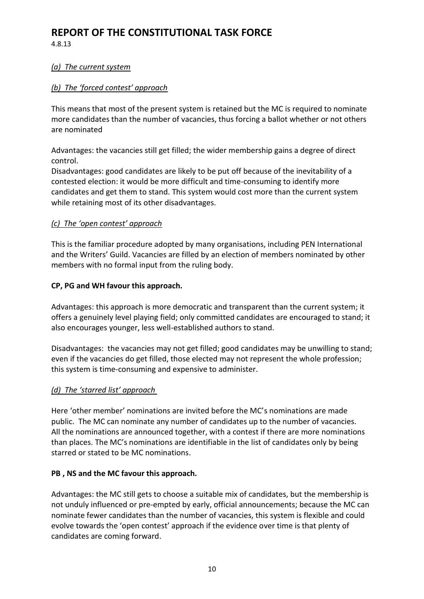4.8.13

#### *(a) The current system*

### *(b) The 'forced contest' approach*

This means that most of the present system is retained but the MC is required to nominate more candidates than the number of vacancies, thus forcing a ballot whether or not others are nominated

Advantages: the vacancies still get filled; the wider membership gains a degree of direct control.

Disadvantages: good candidates are likely to be put off because of the inevitability of a contested election: it would be more difficult and time-consuming to identify more candidates and get them to stand. This system would cost more than the current system while retaining most of its other disadvantages.

### *(c) The 'open contest' approach*

This is the familiar procedure adopted by many organisations, including PEN International and the Writers' Guild. Vacancies are filled by an election of members nominated by other members with no formal input from the ruling body.

#### **CP, PG and WH favour this approach.**

Advantages: this approach is more democratic and transparent than the current system; it offers a genuinely level playing field; only committed candidates are encouraged to stand; it also encourages younger, less well-established authors to stand.

Disadvantages: the vacancies may not get filled; good candidates may be unwilling to stand; even if the vacancies do get filled, those elected may not represent the whole profession; this system is time-consuming and expensive to administer.

### *(d) The 'starred list' approach*

Here 'other member' nominations are invited before the MC's nominations are made public. The MC can nominate any number of candidates up to the number of vacancies. All the nominations are announced together, with a contest if there are more nominations than places. The MC's nominations are identifiable in the list of candidates only by being starred or stated to be MC nominations.

#### **PB , NS and the MC favour this approach.**

Advantages: the MC still gets to choose a suitable mix of candidates, but the membership is not unduly influenced or pre-empted by early, official announcements; because the MC can nominate fewer candidates than the number of vacancies, this system is flexible and could evolve towards the 'open contest' approach if the evidence over time is that plenty of candidates are coming forward.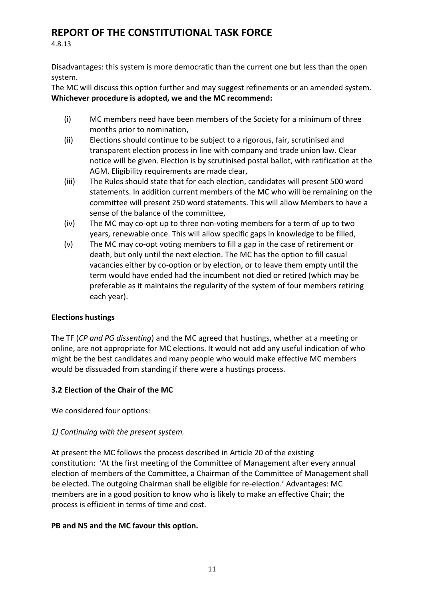4.8.13

Disadvantages: this system is more democratic than the current one but less than the open system.

The MC will discuss this option further and may suggest refinements or an amended system. **Whichever procedure is adopted, we and the MC recommend:**

- (i) MC members need have been members of the Society for a minimum of three months prior to nomination,
- (ii) Elections should continue to be subject to a rigorous, fair, scrutinised and transparent election process in line with company and trade union law. Clear notice will be given. Election is by scrutinised postal ballot, with ratification at the AGM. Eligibility requirements are made clear,
- (iii) The Rules should state that for each election, candidates will present 500 word statements. In addition current members of the MC who will be remaining on the committee will present 250 word statements. This will allow Members to have a sense of the balance of the committee,
- (iv) The MC may co-opt up to three non-voting members for a term of up to two years, renewable once. This will allow specific gaps in knowledge to be filled,
- (v) The MC may co-opt voting members to fill a gap in the case of retirement or death, but only until the next election. The MC has the option to fill casual vacancies either by co-option or by election, or to leave them empty until the term would have ended had the incumbent not died or retired (which may be preferable as it maintains the regularity of the system of four members retiring each year).

# **Elections hustings**

The TF (*CP and PG dissenting*) and the MC agreed that hustings, whether at a meeting or online, are not appropriate for MC elections. It would not add any useful indication of who might be the best candidates and many people who would make effective MC members would be dissuaded from standing if there were a hustings process.

# **3.2 Election of the Chair of the MC**

We considered four options:

### *1) Continuing with the present system.*

At present the MC follows the process described in Article 20 of the existing constitution: 'At the first meeting of the Committee of Management after every annual election of members of the Committee, a Chairman of the Committee of Management shall be elected. The outgoing Chairman shall be eligible for re-election.' Advantages: MC members are in a good position to know who is likely to make an effective Chair; the process is efficient in terms of time and cost.

### **PB and NS and the MC favour this option.**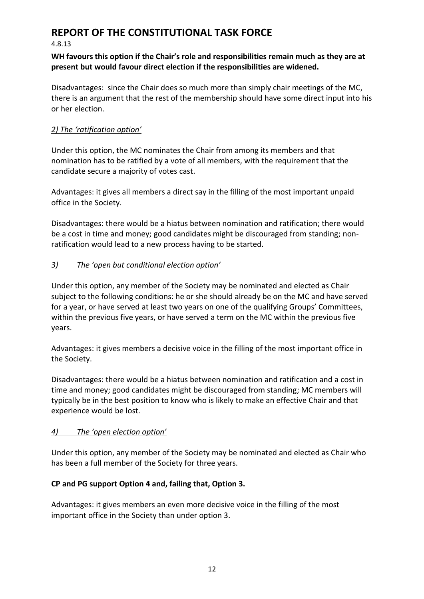#### 4.8.13

### **WH favours this option if the Chair's role and responsibilities remain much as they are at present but would favour direct election if the responsibilities are widened.**

Disadvantages: since the Chair does so much more than simply chair meetings of the MC, there is an argument that the rest of the membership should have some direct input into his or her election.

## *2) The 'ratification option'*

Under this option, the MC nominates the Chair from among its members and that nomination has to be ratified by a vote of all members, with the requirement that the candidate secure a majority of votes cast.

Advantages: it gives all members a direct say in the filling of the most important unpaid office in the Society.

Disadvantages: there would be a hiatus between nomination and ratification; there would be a cost in time and money; good candidates might be discouraged from standing; nonratification would lead to a new process having to be started.

# *3) The 'open but conditional election option'*

Under this option, any member of the Society may be nominated and elected as Chair subject to the following conditions: he or she should already be on the MC and have served for a year, or have served at least two years on one of the qualifying Groups' Committees, within the previous five years, or have served a term on the MC within the previous five years.

Advantages: it gives members a decisive voice in the filling of the most important office in the Society.

Disadvantages: there would be a hiatus between nomination and ratification and a cost in time and money; good candidates might be discouraged from standing; MC members will typically be in the best position to know who is likely to make an effective Chair and that experience would be lost.

# *4) The 'open election option'*

Under this option, any member of the Society may be nominated and elected as Chair who has been a full member of the Society for three years.

# **CP and PG support Option 4 and, failing that, Option 3.**

Advantages: it gives members an even more decisive voice in the filling of the most important office in the Society than under option 3.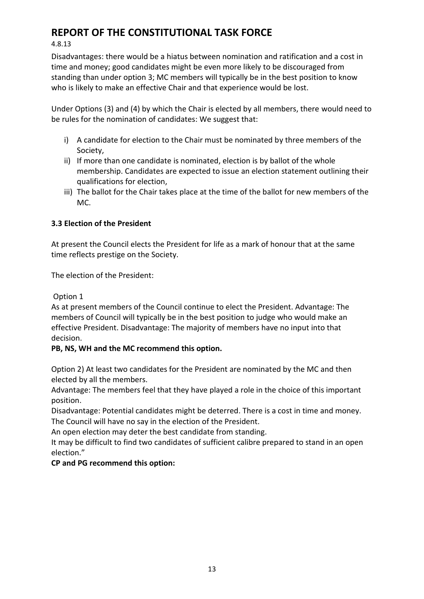4.8.13

Disadvantages: there would be a hiatus between nomination and ratification and a cost in time and money; good candidates might be even more likely to be discouraged from standing than under option 3; MC members will typically be in the best position to know who is likely to make an effective Chair and that experience would be lost.

Under Options (3) and (4) by which the Chair is elected by all members, there would need to be rules for the nomination of candidates: We suggest that:

- i) A candidate for election to the Chair must be nominated by three members of the Society,
- ii) If more than one candidate is nominated, election is by ballot of the whole membership. Candidates are expected to issue an election statement outlining their qualifications for election,
- iii) The ballot for the Chair takes place at the time of the ballot for new members of the MC.

# **3.3 Election of the President**

At present the Council elects the President for life as a mark of honour that at the same time reflects prestige on the Society.

The election of the President:

Option 1

As at present members of the Council continue to elect the President. Advantage: The members of Council will typically be in the best position to judge who would make an effective President. Disadvantage: The majority of members have no input into that decision.

# **PB, NS, WH and the MC recommend this option.**

Option 2) At least two candidates for the President are nominated by the MC and then elected by all the members.

Advantage: The members feel that they have played a role in the choice of this important position.

Disadvantage: Potential candidates might be deterred. There is a cost in time and money. The Council will have no say in the election of the President.

An open election may deter the best candidate from standing.

It may be difficult to find two candidates of sufficient calibre prepared to stand in an open election."

# **CP and PG recommend this option:**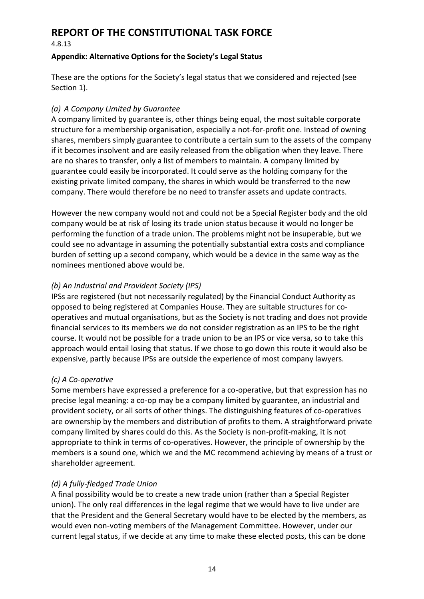4.8.13

### **Appendix: Alternative Options for the Society's Legal Status**

These are the options for the Society's legal status that we considered and rejected (see Section 1).

# *(a) A Company Limited by Guarantee*

A company limited by guarantee is, other things being equal, the most suitable corporate structure for a membership organisation, especially a not-for-profit one. Instead of owning shares, members simply guarantee to contribute a certain sum to the assets of the company if it becomes insolvent and are easily released from the obligation when they leave. There are no shares to transfer, only a list of members to maintain. A company limited by guarantee could easily be incorporated. It could serve as the holding company for the existing private limited company, the shares in which would be transferred to the new company. There would therefore be no need to transfer assets and update contracts.

However the new company would not and could not be a Special Register body and the old company would be at risk of losing its trade union status because it would no longer be performing the function of a trade union. The problems might not be insuperable, but we could see no advantage in assuming the potentially substantial extra costs and compliance burden of setting up a second company, which would be a device in the same way as the nominees mentioned above would be.

### *(b) An Industrial and Provident Society (IPS)*

IPSs are registered (but not necessarily regulated) by the Financial Conduct Authority as opposed to being registered at Companies House. They are suitable structures for cooperatives and mutual organisations, but as the Society is not trading and does not provide financial services to its members we do not consider registration as an IPS to be the right course. It would not be possible for a trade union to be an IPS or vice versa, so to take this approach would entail losing that status. If we chose to go down this route it would also be expensive, partly because IPSs are outside the experience of most company lawyers.

# *(c) A Co-operative*

Some members have expressed a preference for a co-operative, but that expression has no precise legal meaning: a co-op may be a company limited by guarantee, an industrial and provident society, or all sorts of other things. The distinguishing features of co-operatives are ownership by the members and distribution of profits to them. A straightforward private company limited by shares could do this. As the Society is non-profit-making, it is not appropriate to think in terms of co-operatives. However, the principle of ownership by the members is a sound one, which we and the MC recommend achieving by means of a trust or shareholder agreement.

# *(d) A fully-fledged Trade Union*

A final possibility would be to create a new trade union (rather than a Special Register union). The only real differences in the legal regime that we would have to live under are that the President and the General Secretary would have to be elected by the members, as would even non-voting members of the Management Committee. However, under our current legal status, if we decide at any time to make these elected posts, this can be done